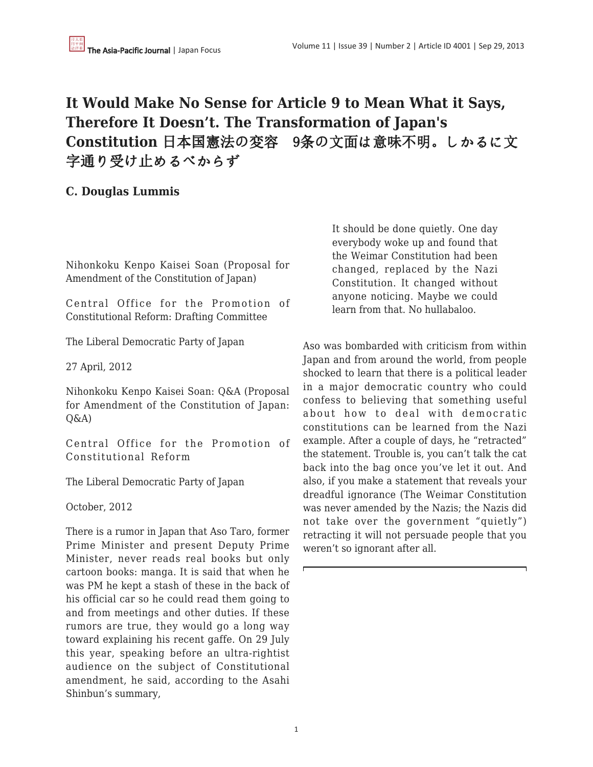# **It Would Make No Sense for Article 9 to Mean What it Says, Therefore It Doesn't. The Transformation of Japan's Constitution** 日本国憲法の変容 9条の文面は意味不明。しかるに文 字通り受け止めるべからず

**C. Douglas Lummis**

Nihonkoku Kenpo Kaisei Soan (Proposal for Amendment of the Constitution of Japan)

Central Office for the Promotion of Constitutional Reform: Drafting Committee

The Liberal Democratic Party of Japan

27 April, 2012

Nihonkoku Kenpo Kaisei Soan: Q&A (Proposal for Amendment of the Constitution of Japan:  $O\&A)$ 

Central Office for the Promotion of Constitutional Reform

The Liberal Democratic Party of Japan

October, 2012

There is a rumor in Japan that Aso Taro, former Prime Minister and present Deputy Prime Minister, never reads real books but only cartoon books: manga. It is said that when he was PM he kept a stash of these in the back of his official car so he could read them going to and from meetings and other duties. If these rumors are true, they would go a long way toward explaining his recent gaffe. On 29 July this year, speaking before an ultra-rightist audience on the subject of Constitutional amendment, he said, according to the Asahi Shinbun's summary,

It should be done quietly. One day everybody woke up and found that the Weimar Constitution had been changed, replaced by the Nazi Constitution. It changed without anyone noticing. Maybe we could learn from that. No hullabaloo.

Aso was bombarded with criticism from within Japan and from around the world, from people shocked to learn that there is a political leader in a major democratic country who could confess to believing that something useful about how to deal with democratic constitutions can be learned from the Nazi example. After a couple of days, he "retracted" the statement. Trouble is, you can't talk the cat back into the bag once you've let it out. And also, if you make a statement that reveals your dreadful ignorance (The Weimar Constitution was never amended by the Nazis; the Nazis did not take over the government "quietly") retracting it will not persuade people that you weren't so ignorant after all.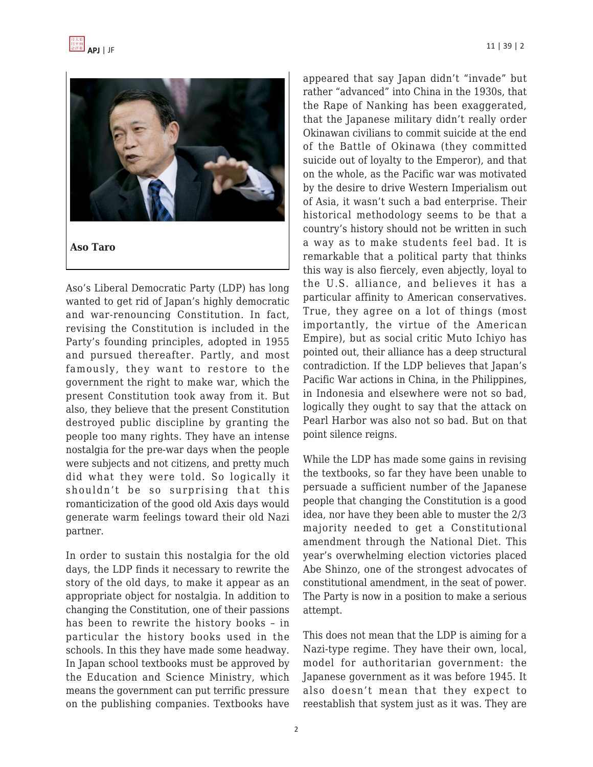

Aso's Liberal Democratic Party (LDP) has long wanted to get rid of Japan's highly democratic and war-renouncing Constitution. In fact, revising the Constitution is included in the Party's founding principles, adopted in 1955 and pursued thereafter. Partly, and most famously, they want to restore to the government the right to make war, which the present Constitution took away from it. But also, they believe that the present Constitution destroyed public discipline by granting the people too many rights. They have an intense nostalgia for the pre-war days when the people were subjects and not citizens, and pretty much did what they were told. So logically it shouldn't be so surprising that this romanticization of the good old Axis days would generate warm feelings toward their old Nazi partner.

In order to sustain this nostalgia for the old days, the LDP finds it necessary to rewrite the story of the old days, to make it appear as an appropriate object for nostalgia. In addition to changing the Constitution, one of their passions has been to rewrite the history books – in particular the history books used in the schools. In this they have made some headway. In Japan school textbooks must be approved by the Education and Science Ministry, which means the government can put terrific pressure on the publishing companies. Textbooks have appeared that say Japan didn't "invade" but rather "advanced" into China in the 1930s, that the Rape of Nanking has been exaggerated, that the Japanese military didn't really order Okinawan civilians to commit suicide at the end of the Battle of Okinawa (they committed suicide out of loyalty to the Emperor), and that on the whole, as the Pacific war was motivated by the desire to drive Western Imperialism out of Asia, it wasn't such a bad enterprise. Their historical methodology seems to be that a country's history should not be written in such a way as to make students feel bad. It is remarkable that a political party that thinks this way is also fiercely, even abjectly, loyal to the U.S. alliance, and believes it has a particular affinity to American conservatives. True, they agree on a lot of things (most importantly, the virtue of the American Empire), but as social critic Muto Ichiyo has pointed out, their alliance has a deep structural contradiction. If the LDP believes that Japan's Pacific War actions in China, in the Philippines, in Indonesia and elsewhere were not so bad, logically they ought to say that the attack on Pearl Harbor was also not so bad. But on that point silence reigns.

While the LDP has made some gains in revising the textbooks, so far they have been unable to persuade a sufficient number of the Japanese people that changing the Constitution is a good idea, nor have they been able to muster the 2/3 majority needed to get a Constitutional amendment through the National Diet. This year's overwhelming election victories placed Abe Shinzo, one of the strongest advocates of constitutional amendment, in the seat of power. The Party is now in a position to make a serious attempt.

This does not mean that the LDP is aiming for a Nazi-type regime. They have their own, local, model for authoritarian government: the Japanese government as it was before 1945. It also doesn't mean that they expect to reestablish that system just as it was. They are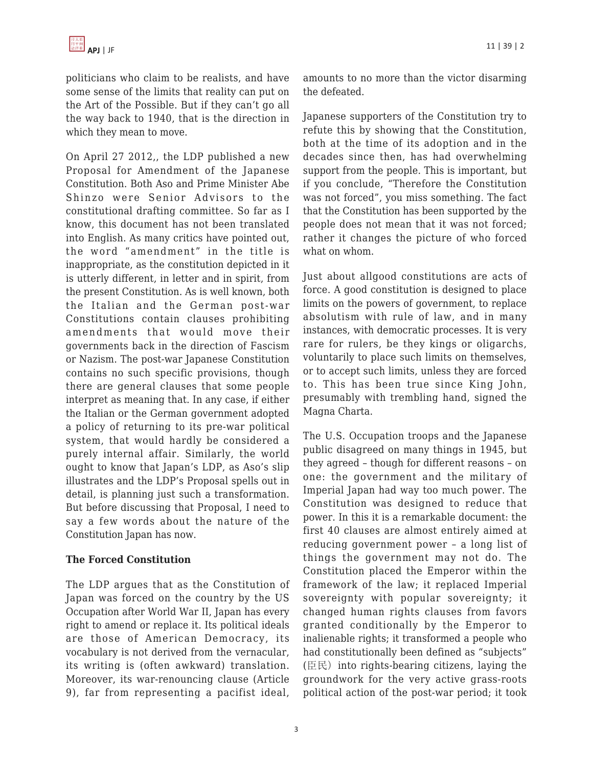politicians who claim to be realists, and have some sense of the limits that reality can put on the Art of the Possible. But if they can't go all the way back to 1940, that is the direction in which they mean to move.

On April 27 2012,, the LDP published a new Proposal for Amendment of the Japanese Constitution. Both Aso and Prime Minister Abe Shinzo were Senior Advisors to the constitutional drafting committee. So far as I know, this document has not been translated into English. As many critics have pointed out, the word "amendment" in the title is inappropriate, as the constitution depicted in it is utterly different, in letter and in spirit, from the present Constitution. As is well known, both the Italian and the German post-war Constitutions contain clauses prohibiting amendments that would move their governments back in the direction of Fascism or Nazism. The post-war Japanese Constitution contains no such specific provisions, though there are general clauses that some people interpret as meaning that. In any case, if either the Italian or the German government adopted a policy of returning to its pre-war political system, that would hardly be considered a purely internal affair. Similarly, the world ought to know that Japan's LDP, as Aso's slip illustrates and the LDP's Proposal spells out in detail, is planning just such a transformation. But before discussing that Proposal, I need to say a few words about the nature of the Constitution Japan has now.

# **The Forced Constitution**

The LDP argues that as the Constitution of Japan was forced on the country by the US Occupation after World War II, Japan has every right to amend or replace it. Its political ideals are those of American Democracy, its vocabulary is not derived from the vernacular, its writing is (often awkward) translation. Moreover, its war-renouncing clause (Article 9), far from representing a pacifist ideal,

Japanese supporters of the Constitution try to refute this by showing that the Constitution, both at the time of its adoption and in the decades since then, has had overwhelming support from the people. This is important, but if you conclude, "Therefore the Constitution was not forced", you miss something. The fact that the Constitution has been supported by the people does not mean that it was not forced; rather it changes the picture of who forced what on whom.

Just about allgood constitutions are acts of force. A good constitution is designed to place limits on the powers of government, to replace absolutism with rule of law, and in many instances, with democratic processes. It is very rare for rulers, be they kings or oligarchs, voluntarily to place such limits on themselves, or to accept such limits, unless they are forced to. This has been true since King John, presumably with trembling hand, signed the Magna Charta.

The U.S. Occupation troops and the Japanese public disagreed on many things in 1945, but they agreed – though for different reasons – on one: the government and the military of Imperial Japan had way too much power. The Constitution was designed to reduce that power. In this it is a remarkable document: the first 40 clauses are almost entirely aimed at reducing government power – a long list of things the government may not do. The Constitution placed the Emperor within the framework of the law; it replaced Imperial sovereignty with popular sovereignty; it changed human rights clauses from favors granted conditionally by the Emperor to inalienable rights; it transformed a people who had constitutionally been defined as "subjects" (臣民)into rights-bearing citizens, laying the groundwork for the very active grass-roots political action of the post-war period; it took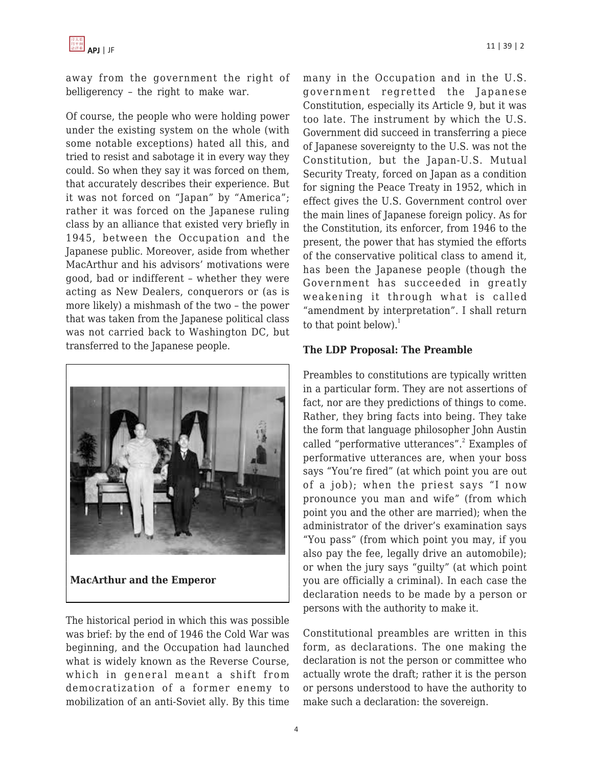

away from the government the right of belligerency – the right to make war.

Of course, the people who were holding power under the existing system on the whole (with some notable exceptions) hated all this, and tried to resist and sabotage it in every way they could. So when they say it was forced on them, that accurately describes their experience. But it was not forced on "Japan" by "America"; rather it was forced on the Japanese ruling class by an alliance that existed very briefly in 1945, between the Occupation and the Japanese public. Moreover, aside from whether MacArthur and his advisors' motivations were good, bad or indifferent – whether they were acting as New Dealers, conquerors or (as is more likely) a mishmash of the two – the power that was taken from the Japanese political class was not carried back to Washington DC, but transferred to the Japanese people.



**MacArthur and the Emperor**

The historical period in which this was possible was brief: by the end of 1946 the Cold War was beginning, and the Occupation had launched what is widely known as the Reverse Course, which in general meant a shift from democratization of a former enemy to mobilization of an anti-Soviet ally. By this time many in the Occupation and in the U.S. government regretted the Japanese Constitution, especially its Article 9, but it was too late. The instrument by which the U.S. Government did succeed in transferring a piece of Japanese sovereignty to the U.S. was not the Constitution, but the Japan-U.S. Mutual Security Treaty, forced on Japan as a condition for signing the Peace Treaty in 1952, which in effect gives the U.S. Government control over the main lines of Japanese foreign policy. As for the Constitution, its enforcer, from 1946 to the present, the power that has stymied the efforts of the conservative political class to amend it, has been the Japanese people (though the Government has succeeded in greatly weakening it through what is called "amendment by interpretation". I shall return to that point below). $<sup>1</sup>$ </sup>

## **The LDP Proposal: The Preamble**

Preambles to constitutions are typically written in a particular form. They are not assertions of fact, nor are they predictions of things to come. Rather, they bring facts into being. They take the form that language philosopher John Austin called "performative utterances".<sup>2</sup> Examples of performative utterances are, when your boss says "You're fired" (at which point you are out of a job); when the priest says "I now pronounce you man and wife" (from which point you and the other are married); when the administrator of the driver's examination says "You pass" (from which point you may, if you also pay the fee, legally drive an automobile); or when the jury says "guilty" (at which point you are officially a criminal). In each case the declaration needs to be made by a person or persons with the authority to make it.

Constitutional preambles are written in this form, as declarations. The one making the declaration is not the person or committee who actually wrote the draft; rather it is the person or persons understood to have the authority to make such a declaration: the sovereign.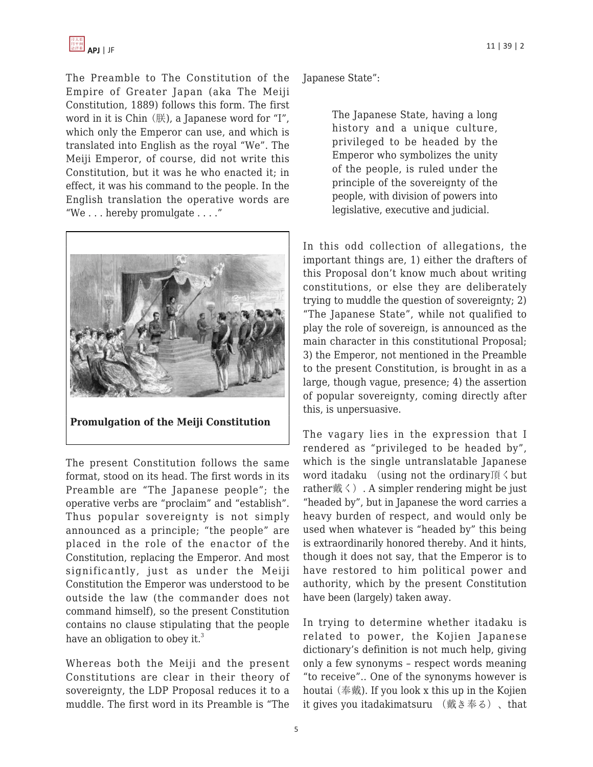The Preamble to The Constitution of the Empire of Greater Japan (aka The Meiji Constitution, 1889) follows this form. The first word in it is Chin (朕), a Japanese word for "I", which only the Emperor can use, and which is translated into English as the royal "We". The Meiji Emperor, of course, did not write this Constitution, but it was he who enacted it; in effect, it was his command to the people. In the English translation the operative words are "We . . . hereby promulgate . . . ."



**Promulgation of the Meiji Constitution**

The present Constitution follows the same format, stood on its head. The first words in its Preamble are "The Japanese people"; the operative verbs are "proclaim" and "establish". Thus popular sovereignty is not simply announced as a principle; "the people" are placed in the role of the enactor of the Constitution, replacing the Emperor. And most significantly, just as under the Meiji Constitution the Emperor was understood to be outside the law (the commander does not command himself), so the present Constitution contains no clause stipulating that the people have an obligation to obey it.<sup>3</sup>

Whereas both the Meiji and the present Constitutions are clear in their theory of sovereignty, the LDP Proposal reduces it to a muddle. The first word in its Preamble is "The Japanese State":

The Japanese State, having a long history and a unique culture, privileged to be headed by the Emperor who symbolizes the unity of the people, is ruled under the principle of the sovereignty of the people, with division of powers into legislative, executive and judicial.

In this odd collection of allegations, the important things are, 1) either the drafters of this Proposal don't know much about writing constitutions, or else they are deliberately trying to muddle the question of sovereignty; 2) "The Japanese State", while not qualified to play the role of sovereign, is announced as the main character in this constitutional Proposal; 3) the Emperor, not mentioned in the Preamble to the present Constitution, is brought in as a large, though vague, presence; 4) the assertion of popular sovereignty, coming directly after this, is unpersuasive.

The vagary lies in the expression that I rendered as "privileged to be headed by", which is the single untranslatable Japanese word itadaku (using not the ordinary頂くbut rather戴く). A simpler rendering might be just "headed by", but in Japanese the word carries a heavy burden of respect, and would only be used when whatever is "headed by" this being is extraordinarily honored thereby. And it hints, though it does not say, that the Emperor is to have restored to him political power and authority, which by the present Constitution have been (largely) taken away.

In trying to determine whether itadaku is related to power, the Kojien Japanese dictionary's definition is not much help, giving only a few synonyms – respect words meaning "to receive".. One of the synonyms however is houtai (奉戴). If you look x this up in the Kojien it gives you itadakimatsuru (戴き奉る)、that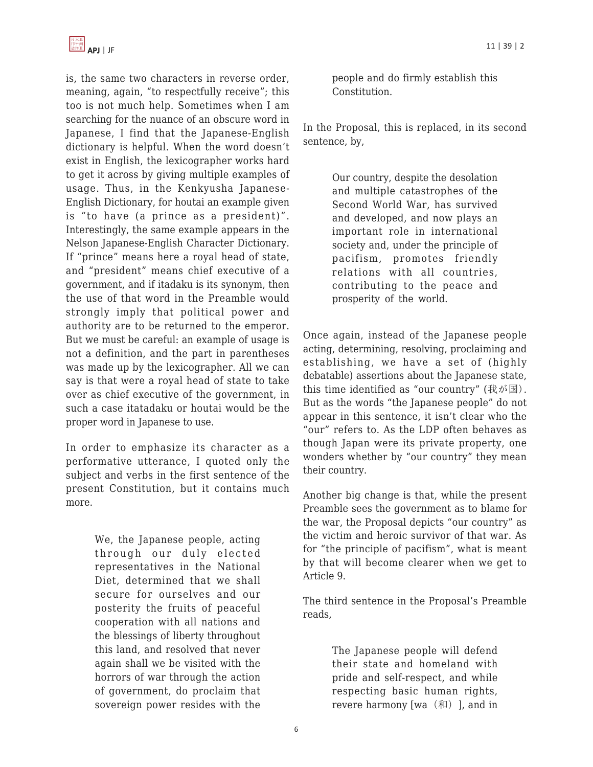

is, the same two characters in reverse order, meaning, again, "to respectfully receive"; this too is not much help. Sometimes when I am searching for the nuance of an obscure word in Japanese, I find that the Japanese-English dictionary is helpful. When the word doesn't exist in English, the lexicographer works hard to get it across by giving multiple examples of usage. Thus, in the Kenkyusha Japanese-English Dictionary, for houtai an example given is "to have (a prince as a president)". Interestingly, the same example appears in the Nelson Japanese-English Character Dictionary. If "prince" means here a royal head of state, and "president" means chief executive of a government, and if itadaku is its synonym, then the use of that word in the Preamble would strongly imply that political power and authority are to be returned to the emperor. But we must be careful: an example of usage is not a definition, and the part in parentheses was made up by the lexicographer. All we can say is that were a royal head of state to take over as chief executive of the government, in such a case itatadaku or houtai would be the proper word in Japanese to use.

In order to emphasize its character as a performative utterance, I quoted only the subject and verbs in the first sentence of the present Constitution, but it contains much more.

> We, the Japanese people, acting through our duly elected representatives in the National Diet, determined that we shall secure for ourselves and our posterity the fruits of peaceful cooperation with all nations and the blessings of liberty throughout this land, and resolved that never again shall we be visited with the horrors of war through the action of government, do proclaim that sovereign power resides with the

people and do firmly establish this Constitution.

In the Proposal, this is replaced, in its second sentence, by,

> Our country, despite the desolation and multiple catastrophes of the Second World War, has survived and developed, and now plays an important role in international society and, under the principle of pacifism, promotes friendly relations with all countries, contributing to the peace and prosperity of the world.

Once again, instead of the Japanese people acting, determining, resolving, proclaiming and establishing, we have a set of (highly debatable) assertions about the Japanese state, this time identified as "our country"  $(\text{\textsterling} k)$ . But as the words "the Japanese people" do not appear in this sentence, it isn't clear who the "our" refers to. As the LDP often behaves as though Japan were its private property, one wonders whether by "our country" they mean their country.

Another big change is that, while the present Preamble sees the government as to blame for the war, the Proposal depicts "our country" as the victim and heroic survivor of that war. As for "the principle of pacifism", what is meant by that will become clearer when we get to Article 9.

The third sentence in the Proposal's Preamble reads,

> The Japanese people will defend their state and homeland with pride and self-respect, and while respecting basic human rights, revere harmony [wa(和)], and in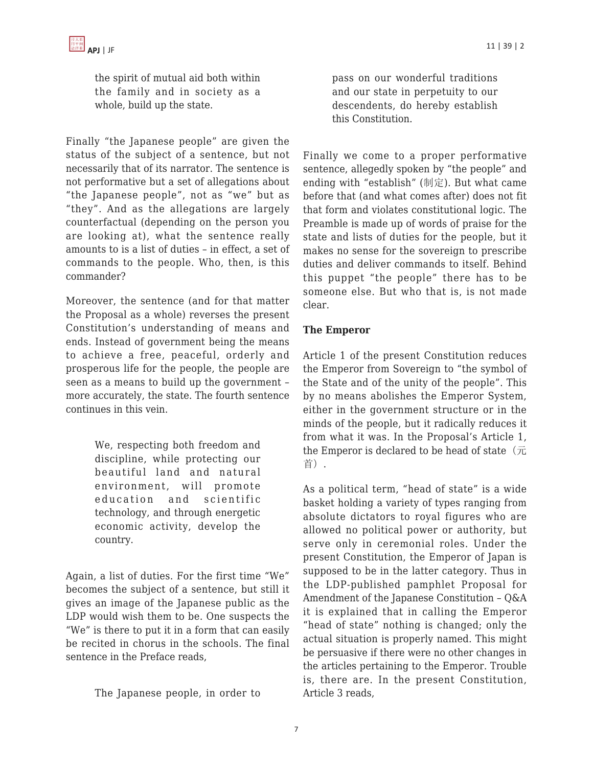the spirit of mutual aid both within the family and in society as a whole, build up the state.

Finally "the Japanese people" are given the status of the subject of a sentence, but not necessarily that of its narrator. The sentence is not performative but a set of allegations about "the Japanese people", not as "we" but as "they". And as the allegations are largely counterfactual (depending on the person you are looking at), what the sentence really amounts to is a list of duties – in effect, a set of commands to the people. Who, then, is this commander?

Moreover, the sentence (and for that matter the Proposal as a whole) reverses the present Constitution's understanding of means and ends. Instead of government being the means to achieve a free, peaceful, orderly and prosperous life for the people, the people are seen as a means to build up the government – more accurately, the state. The fourth sentence continues in this vein.

> We, respecting both freedom and discipline, while protecting our beautiful land and natural environment, will promote education and scientific technology, and through energetic economic activity, develop the country.

Again, a list of duties. For the first time "We" becomes the subject of a sentence, but still it gives an image of the Japanese public as the LDP would wish them to be. One suspects the "We" is there to put it in a form that can easily be recited in chorus in the schools. The final sentence in the Preface reads,

The Japanese people, in order to

pass on our wonderful traditions and our state in perpetuity to our descendents, do hereby establish this Constitution.

Finally we come to a proper performative sentence, allegedly spoken by "the people" and ending with "establish" (制定). But what came before that (and what comes after) does not fit that form and violates constitutional logic. The Preamble is made up of words of praise for the state and lists of duties for the people, but it makes no sense for the sovereign to prescribe duties and deliver commands to itself. Behind this puppet "the people" there has to be someone else. But who that is, is not made clear.

### **The Emperor**

Article 1 of the present Constitution reduces the Emperor from Sovereign to "the symbol of the State and of the unity of the people". This by no means abolishes the Emperor System, either in the government structure or in the minds of the people, but it radically reduces it from what it was. In the Proposal's Article 1, the Emperor is declared to be head of state  $(\bar{\pi})$ 首).

As a political term, "head of state" is a wide basket holding a variety of types ranging from absolute dictators to royal figures who are allowed no political power or authority, but serve only in ceremonial roles. Under the present Constitution, the Emperor of Japan is supposed to be in the latter category. Thus in the LDP-published pamphlet Proposal for Amendment of the Japanese Constitution – Q&A it is explained that in calling the Emperor "head of state" nothing is changed; only the actual situation is properly named. This might be persuasive if there were no other changes in the articles pertaining to the Emperor. Trouble is, there are. In the present Constitution, Article 3 reads,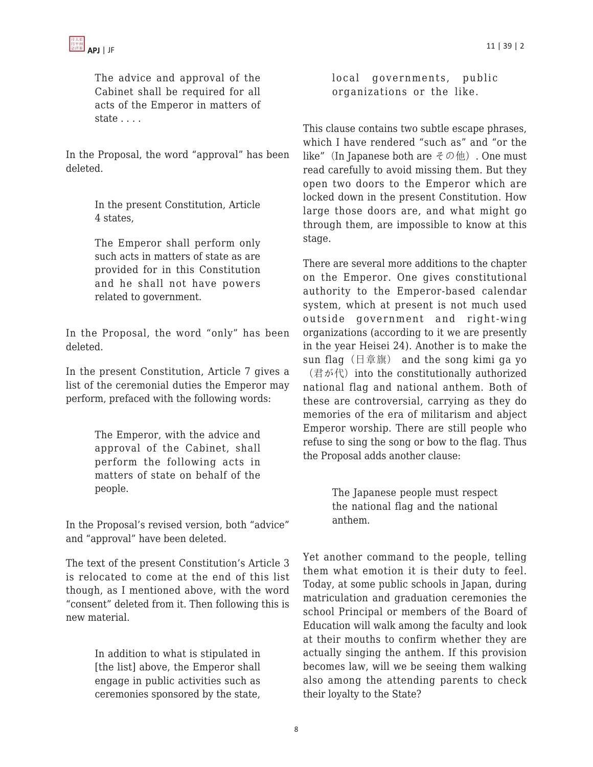The advice and approval of the Cabinet shall be required for all acts of the Emperor in matters of state . . . .

In the Proposal, the word "approval" has been deleted.

> In the present Constitution, Article 4 states,

The Emperor shall perform only such acts in matters of state as are provided for in this Constitution and he shall not have powers related to government.

In the Proposal, the word "only" has been deleted.

In the present Constitution, Article 7 gives a list of the ceremonial duties the Emperor may perform, prefaced with the following words:

> The Emperor, with the advice and approval of the Cabinet, shall perform the following acts in matters of state on behalf of the people.

In the Proposal's revised version, both "advice" and "approval" have been deleted.

The text of the present Constitution's Article 3 is relocated to come at the end of this list though, as I mentioned above, with the word "consent" deleted from it. Then following this is new material.

> In addition to what is stipulated in [the list] above, the Emperor shall engage in public activities such as ceremonies sponsored by the state,

local governments, public organizations or the like.

This clause contains two subtle escape phrases, which I have rendered "such as" and "or the like" (In Japanese both are  $\ell \mathcal{D}(\mathfrak{m})$ ). One must read carefully to avoid missing them. But they open two doors to the Emperor which are locked down in the present Constitution. How large those doors are, and what might go through them, are impossible to know at this stage.

There are several more additions to the chapter on the Emperor. One gives constitutional authority to the Emperor-based calendar system, which at present is not much used outside government and right-wing organizations (according to it we are presently in the year Heisei 24). Another is to make the sun flag(日章旗) and the song kimi ga yo (君が代) into the constitutionally authorized

national flag and national anthem. Both of these are controversial, carrying as they do memories of the era of militarism and abject Emperor worship. There are still people who refuse to sing the song or bow to the flag. Thus the Proposal adds another clause:

> The Japanese people must respect the national flag and the national anthem.

Yet another command to the people, telling them what emotion it is their duty to feel. Today, at some public schools in Japan, during matriculation and graduation ceremonies the school Principal or members of the Board of Education will walk among the faculty and look at their mouths to confirm whether they are actually singing the anthem. If this provision becomes law, will we be seeing them walking also among the attending parents to check their loyalty to the State?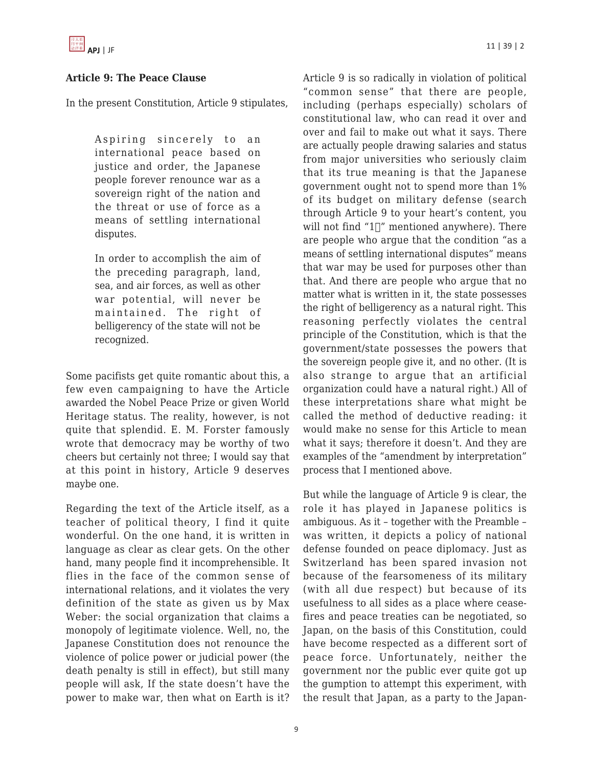

## **Article 9: The Peace Clause**

In the present Constitution, Article 9 stipulates,

Aspiring sincerely to an international peace based on justice and order, the Japanese people forever renounce war as a sovereign right of the nation and the threat or use of force as a means of settling international disputes.

In order to accomplish the aim of the preceding paragraph, land, sea, and air forces, as well as other war potential, will never be maintained. The right of belligerency of the state will not be recognized.

Some pacifists get quite romantic about this, a few even campaigning to have the Article awarded the Nobel Peace Prize or given World Heritage status. The reality, however, is not quite that splendid. E. M. Forster famously wrote that democracy may be worthy of two cheers but certainly not three; I would say that at this point in history, Article 9 deserves maybe one.

Regarding the text of the Article itself, as a teacher of political theory, I find it quite wonderful. On the one hand, it is written in language as clear as clear gets. On the other hand, many people find it incomprehensible. It flies in the face of the common sense of international relations, and it violates the very definition of the state as given us by Max Weber: the social organization that claims a monopoly of legitimate violence. Well, no, the Japanese Constitution does not renounce the violence of police power or judicial power (the death penalty is still in effect), but still many people will ask, If the state doesn't have the power to make war, then what on Earth is it? Article 9 is so radically in violation of political "common sense" that there are people, including (perhaps especially) scholars of constitutional law, who can read it over and over and fail to make out what it says. There are actually people drawing salaries and status from major universities who seriously claim that its true meaning is that the Japanese government ought not to spend more than 1% of its budget on military defense (search through Article 9 to your heart's content, you will not find " $1\vert$ " mentioned anywhere). There are people who argue that the condition "as a means of settling international disputes" means that war may be used for purposes other than that. And there are people who argue that no matter what is written in it, the state possesses the right of belligerency as a natural right. This reasoning perfectly violates the central principle of the Constitution, which is that the government/state possesses the powers that the sovereign people give it, and no other. (It is also strange to argue that an artificial organization could have a natural right.) All of these interpretations share what might be called the method of deductive reading: it would make no sense for this Article to mean what it says; therefore it doesn't. And they are examples of the "amendment by interpretation" process that I mentioned above.

But while the language of Article 9 is clear, the role it has played in Japanese politics is ambiguous. As it – together with the Preamble – was written, it depicts a policy of national defense founded on peace diplomacy. Just as Switzerland has been spared invasion not because of the fearsomeness of its military (with all due respect) but because of its usefulness to all sides as a place where ceasefires and peace treaties can be negotiated, so Japan, on the basis of this Constitution, could have become respected as a different sort of peace force. Unfortunately, neither the government nor the public ever quite got up the gumption to attempt this experiment, with the result that Japan, as a party to the Japan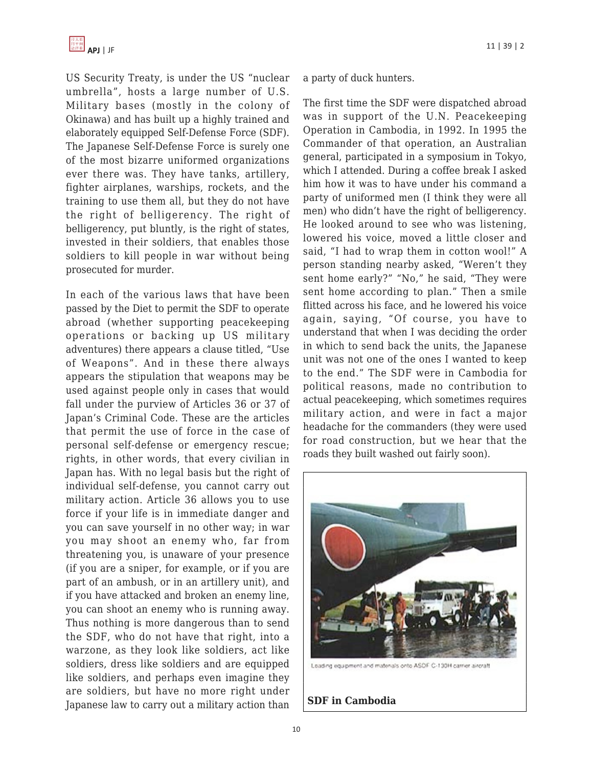US Security Treaty, is under the US "nuclear umbrella", hosts a large number of U.S. Military bases (mostly in the colony of Okinawa) and has built up a highly trained and elaborately equipped Self-Defense Force (SDF). The Japanese Self-Defense Force is surely one of the most bizarre uniformed organizations ever there was. They have tanks, artillery, fighter airplanes, warships, rockets, and the training to use them all, but they do not have the right of belligerency. The right of belligerency, put bluntly, is the right of states, invested in their soldiers, that enables those soldiers to kill people in war without being prosecuted for murder.

In each of the various laws that have been passed by the Diet to permit the SDF to operate abroad (whether supporting peacekeeping operations or backing up US military adventures) there appears a clause titled, "Use of Weapons". And in these there always appears the stipulation that weapons may be used against people only in cases that would fall under the purview of Articles 36 or 37 of Japan's Criminal Code. These are the articles that permit the use of force in the case of personal self-defense or emergency rescue; rights, in other words, that every civilian in Japan has. With no legal basis but the right of individual self-defense, you cannot carry out military action. Article 36 allows you to use force if your life is in immediate danger and you can save yourself in no other way; in war you may shoot an enemy who, far from threatening you, is unaware of your presence (if you are a sniper, for example, or if you are part of an ambush, or in an artillery unit), and if you have attacked and broken an enemy line, you can shoot an enemy who is running away. Thus nothing is more dangerous than to send the SDF, who do not have that right, into a warzone, as they look like soldiers, act like soldiers, dress like soldiers and are equipped like soldiers, and perhaps even imagine they are soldiers, but have no more right under Japanese law to carry out a military action than a party of duck hunters.

The first time the SDF were dispatched abroad was in support of the U.N. Peacekeeping Operation in Cambodia, in 1992. In 1995 the Commander of that operation, an Australian general, participated in a symposium in Tokyo, which I attended. During a coffee break I asked him how it was to have under his command a party of uniformed men (I think they were all men) who didn't have the right of belligerency. He looked around to see who was listening, lowered his voice, moved a little closer and said, "I had to wrap them in cotton wool!" A person standing nearby asked, "Weren't they sent home early?" "No," he said, "They were sent home according to plan." Then a smile flitted across his face, and he lowered his voice again, saying, "Of course, you have to understand that when I was deciding the order in which to send back the units, the Japanese unit was not one of the ones I wanted to keep to the end." The SDF were in Cambodia for political reasons, made no contribution to actual peacekeeping, which sometimes requires military action, and were in fact a major headache for the commanders (they were used for road construction, but we hear that the roads they built washed out fairly soon).



Loading equipment and materials onto ASOF C-130H carrier aircraft

**SDF in Cambodia**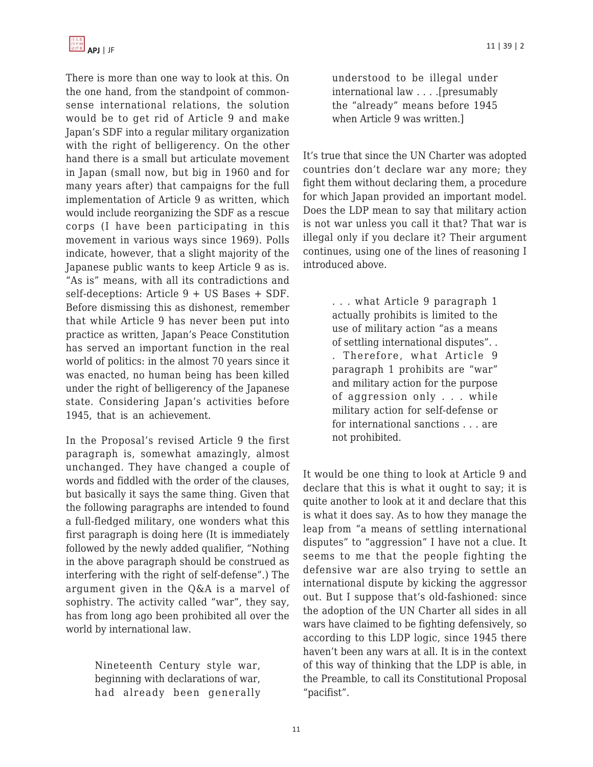

There is more than one way to look at this. On the one hand, from the standpoint of commonsense international relations, the solution would be to get rid of Article 9 and make Japan's SDF into a regular military organization with the right of belligerency. On the other hand there is a small but articulate movement in Japan (small now, but big in 1960 and for many years after) that campaigns for the full implementation of Article 9 as written, which would include reorganizing the SDF as a rescue corps (I have been participating in this movement in various ways since 1969). Polls indicate, however, that a slight majority of the Japanese public wants to keep Article 9 as is. "As is" means, with all its contradictions and self-deceptions: Article 9 + US Bases + SDF. Before dismissing this as dishonest, remember that while Article 9 has never been put into practice as written, Japan's Peace Constitution has served an important function in the real world of politics: in the almost 70 years since it was enacted, no human being has been killed under the right of belligerency of the Japanese state. Considering Japan's activities before 1945, that is an achievement.

In the Proposal's revised Article 9 the first paragraph is, somewhat amazingly, almost unchanged. They have changed a couple of words and fiddled with the order of the clauses, but basically it says the same thing. Given that the following paragraphs are intended to found a full-fledged military, one wonders what this first paragraph is doing here (It is immediately followed by the newly added qualifier, "Nothing in the above paragraph should be construed as interfering with the right of self-defense".) The argument given in the Q&A is a marvel of sophistry. The activity called "war", they say, has from long ago been prohibited all over the world by international law.

> Nineteenth Century style war, beginning with declarations of war, had already been generally

understood to be illegal under international law . . . .[presumably the "already" means before 1945 when Article 9 was written.]

It's true that since the UN Charter was adopted countries don't declare war any more; they fight them without declaring them, a procedure for which Japan provided an important model. Does the LDP mean to say that military action is not war unless you call it that? That war is illegal only if you declare it? Their argument continues, using one of the lines of reasoning I introduced above.

> . . . what Article 9 paragraph 1 actually prohibits is limited to the use of military action "as a means of settling international disputes". . . Therefore, what Article 9 paragraph 1 prohibits are "war" and military action for the purpose of aggression only . . . while military action for self-defense or for international sanctions . . . are not prohibited.

It would be one thing to look at Article 9 and declare that this is what it ought to say; it is quite another to look at it and declare that this is what it does say. As to how they manage the leap from "a means of settling international disputes" to "aggression" I have not a clue. It seems to me that the people fighting the defensive war are also trying to settle an international dispute by kicking the aggressor out. But I suppose that's old-fashioned: since the adoption of the UN Charter all sides in all wars have claimed to be fighting defensively, so according to this LDP logic, since 1945 there haven't been any wars at all. It is in the context of this way of thinking that the LDP is able, in the Preamble, to call its Constitutional Proposal "pacifist".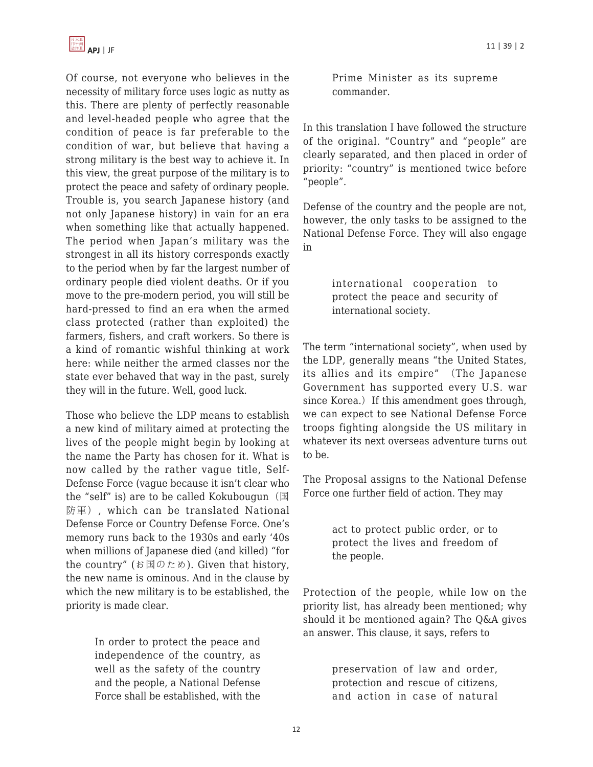

Of course, not everyone who believes in the necessity of military force uses logic as nutty as this. There are plenty of perfectly reasonable and level-headed people who agree that the condition of peace is far preferable to the condition of war, but believe that having a strong military is the best way to achieve it. In this view, the great purpose of the military is to protect the peace and safety of ordinary people. Trouble is, you search Japanese history (and not only Japanese history) in vain for an era when something like that actually happened. The period when Japan's military was the strongest in all its history corresponds exactly to the period when by far the largest number of ordinary people died violent deaths. Or if you move to the pre-modern period, you will still be hard-pressed to find an era when the armed class protected (rather than exploited) the farmers, fishers, and craft workers. So there is a kind of romantic wishful thinking at work here: while neither the armed classes nor the state ever behaved that way in the past, surely they will in the future. Well, good luck.

Those who believe the LDP means to establish a new kind of military aimed at protecting the lives of the people might begin by looking at the name the Party has chosen for it. What is now called by the rather vague title, Self-Defense Force (vague because it isn't clear who the "self" is) are to be called Kokubougun  $(\mathbb{E})$ 防軍), which can be translated National Defense Force or Country Defense Force. One's memory runs back to the 1930s and early '40s when millions of Japanese died (and killed) "for the country" (お国のため). Given that history, the new name is ominous. And in the clause by which the new military is to be established, the priority is made clear.

> In order to protect the peace and independence of the country, as well as the safety of the country and the people, a National Defense Force shall be established, with the

Prime Minister as its supreme commander.

In this translation I have followed the structure of the original. "Country" and "people" are clearly separated, and then placed in order of priority: "country" is mentioned twice before "people".

Defense of the country and the people are not, however, the only tasks to be assigned to the National Defense Force. They will also engage in

> international cooperation to protect the peace and security of international society.

The term "international society", when used by the LDP, generally means "the United States, its allies and its empire" (The Japanese Government has supported every U.S. war since Korea.) If this amendment goes through, we can expect to see National Defense Force troops fighting alongside the US military in whatever its next overseas adventure turns out to be.

The Proposal assigns to the National Defense Force one further field of action. They may

> act to protect public order, or to protect the lives and freedom of the people.

Protection of the people, while low on the priority list, has already been mentioned; why should it be mentioned again? The Q&A gives an answer. This clause, it says, refers to

> preservation of law and order, protection and rescue of citizens, and action in case of natural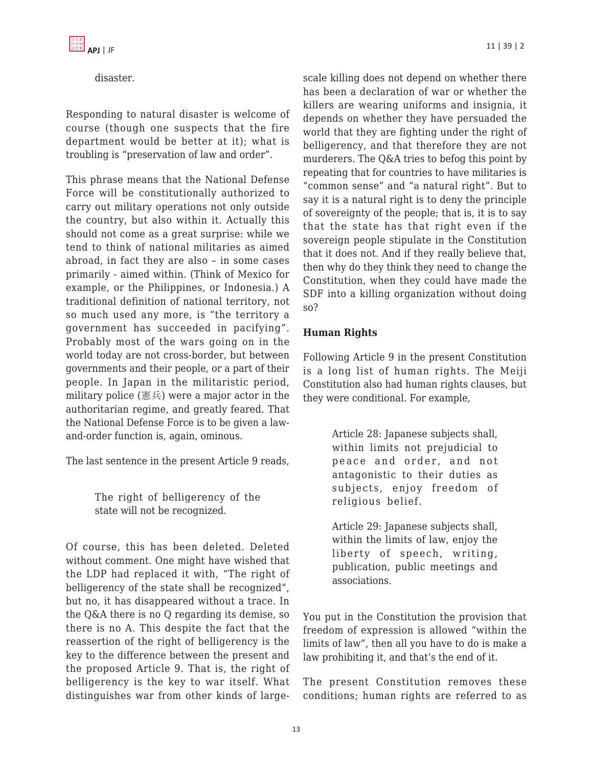## disaster.

Responding to natural disaster is welcome of course (though one suspects that the fire department would be better at it); what is troubling is "preservation of law and order".

This phrase means that the National Defense Force will be constitutionally authorized to carry out military operations not only outside the country, but also within it. Actually this should not come as a great surprise: while we tend to think of national militaries as aimed abroad, in fact they are also – in some cases primarily - aimed within. (Think of Mexico for example, or the Philippines, or Indonesia.) A traditional definition of national territory, not so much used any more, is "the territory a government has succeeded in pacifying". Probably most of the wars going on in the world today are not cross-border, but between governments and their people, or a part of their people. In Japan in the militaristic period, military police (憲兵) were a major actor in the authoritarian regime, and greatly feared. That the National Defense Force is to be given a lawand-order function is, again, ominous.

The last sentence in the present Article 9 reads,

The right of belligerency of the state will not be recognized.

Of course, this has been deleted. Deleted without comment. One might have wished that the LDP had replaced it with, "The right of belligerency of the state shall be recognized", but no, it has disappeared without a trace. In the Q&A there is no Q regarding its demise, so there is no A. This despite the fact that the reassertion of the right of belligerency is the key to the difference between the present and the proposed Article 9. That is, the right of belligerency is the key to war itself. What distinguishes war from other kinds of largescale killing does not depend on whether there has been a declaration of war or whether the killers are wearing uniforms and insignia, it depends on whether they have persuaded the world that they are fighting under the right of belligerency, and that therefore they are not murderers. The Q&A tries to befog this point by repeating that for countries to have militaries is "common sense" and "a natural right". But to say it is a natural right is to deny the principle of sovereignty of the people; that is, it is to say that the state has that right even if the sovereign people stipulate in the Constitution that it does not. And if they really believe that, then why do they think they need to change the Constitution, when they could have made the SDF into a killing organization without doing so?

# **Human Rights**

Following Article 9 in the present Constitution is a long list of human rights. The Meiji Constitution also had human rights clauses, but they were conditional. For example,

> Article 28: Japanese subjects shall, within limits not prejudicial to peace and order, and not antagonistic to their duties as subjects, enjoy freedom of religious belief.

Article 29: Japanese subjects shall, within the limits of law, enjoy the liberty of speech, writing, publication, public meetings and associations.

You put in the Constitution the provision that freedom of expression is allowed "within the limits of law", then all you have to do is make a law prohibiting it, and that's the end of it.

The present Constitution removes these conditions; human rights are referred to as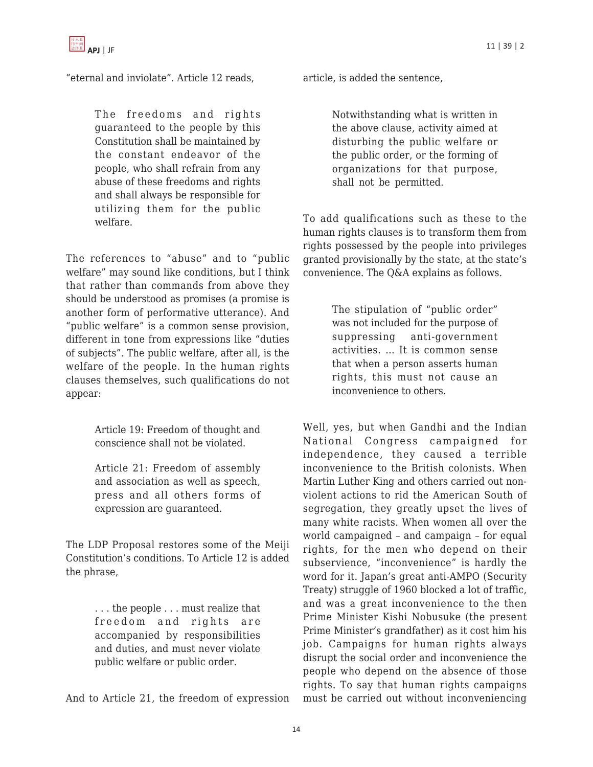

"eternal and inviolate". Article 12 reads,

The freedoms and rights guaranteed to the people by this Constitution shall be maintained by the constant endeavor of the people, who shall refrain from any abuse of these freedoms and rights and shall always be responsible for utilizing them for the public welfare.

The references to "abuse" and to "public welfare" may sound like conditions, but I think that rather than commands from above they should be understood as promises (a promise is another form of performative utterance). And "public welfare" is a common sense provision, different in tone from expressions like "duties of subjects". The public welfare, after all, is the welfare of the people. In the human rights clauses themselves, such qualifications do not appear:

> Article 19: Freedom of thought and conscience shall not be violated.

Article 21: Freedom of assembly and association as well as speech, press and all others forms of expression are guaranteed.

The LDP Proposal restores some of the Meiji Constitution's conditions. To Article 12 is added the phrase,

> . . . the people . . . must realize that freedom and rights are accompanied by responsibilities and duties, and must never violate public welfare or public order.

And to Article 21, the freedom of expression

article, is added the sentence,

Notwithstanding what is written in the above clause, activity aimed at disturbing the public welfare or the public order, or the forming of organizations for that purpose, shall not be permitted.

To add qualifications such as these to the human rights clauses is to transform them from rights possessed by the people into privileges granted provisionally by the state, at the state's convenience. The Q&A explains as follows.

> The stipulation of "public order" was not included for the purpose of suppressing anti-government activities. … It is common sense that when a person asserts human rights, this must not cause an inconvenience to others.

Well, yes, but when Gandhi and the Indian National Congress campaigned for independence, they caused a terrible inconvenience to the British colonists. When Martin Luther King and others carried out nonviolent actions to rid the American South of segregation, they greatly upset the lives of many white racists. When women all over the world campaigned – and campaign – for equal rights, for the men who depend on their subservience, "inconvenience" is hardly the word for it. Japan's great anti-AMPO (Security Treaty) struggle of 1960 blocked a lot of traffic, and was a great inconvenience to the then Prime Minister Kishi Nobusuke (the present Prime Minister's grandfather) as it cost him his job. Campaigns for human rights always disrupt the social order and inconvenience the people who depend on the absence of those rights. To say that human rights campaigns must be carried out without inconveniencing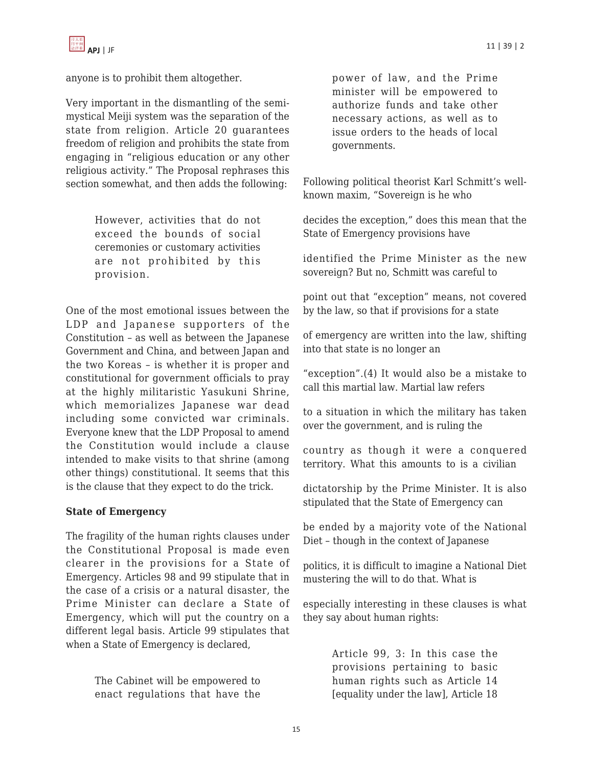

anyone is to prohibit them altogether.

Very important in the dismantling of the semimystical Meiji system was the separation of the state from religion. Article 20 guarantees freedom of religion and prohibits the state from engaging in "religious education or any other religious activity." The Proposal rephrases this section somewhat, and then adds the following:

> However, activities that do not exceed the bounds of social ceremonies or customary activities are not prohibited by this provision.

One of the most emotional issues between the LDP and Japanese supporters of the Constitution – as well as between the Japanese Government and China, and between Japan and the two Koreas – is whether it is proper and constitutional for government officials to pray at the highly militaristic Yasukuni Shrine, which memorializes Japanese war dead including some convicted war criminals. Everyone knew that the LDP Proposal to amend the Constitution would include a clause intended to make visits to that shrine (among other things) constitutional. It seems that this is the clause that they expect to do the trick.

### **State of Emergency**

The fragility of the human rights clauses under the Constitutional Proposal is made even clearer in the provisions for a State of Emergency. Articles 98 and 99 stipulate that in the case of a crisis or a natural disaster, the Prime Minister can declare a State of Emergency, which will put the country on a different legal basis. Article 99 stipulates that when a State of Emergency is declared,

> The Cabinet will be empowered to enact regulations that have the

power of law, and the Prime minister will be empowered to authorize funds and take other necessary actions, as well as to issue orders to the heads of local governments.

Following political theorist Karl Schmitt's wellknown maxim, "Sovereign is he who

decides the exception," does this mean that the State of Emergency provisions have

identified the Prime Minister as the new sovereign? But no, Schmitt was careful to

point out that "exception" means, not covered by the law, so that if provisions for a state

of emergency are written into the law, shifting into that state is no longer an

"exception".(4) It would also be a mistake to call this martial law. Martial law refers

to a situation in which the military has taken over the government, and is ruling the

country as though it were a conquered territory. What this amounts to is a civilian

dictatorship by the Prime Minister. It is also stipulated that the State of Emergency can

be ended by a majority vote of the National Diet – though in the context of Japanese

politics, it is difficult to imagine a National Diet mustering the will to do that. What is

especially interesting in these clauses is what they say about human rights:

> Article 99, 3: In this case the provisions pertaining to basic human rights such as Article 14 [equality under the law], Article 18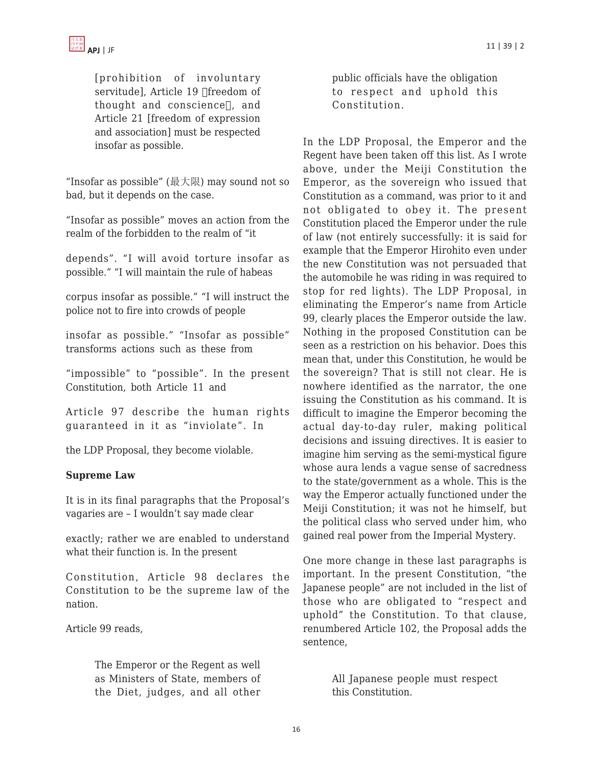

[prohibition of involuntary servitude], Article 19 [freedom of thought and conscience], and Article 21 [freedom of expression and association] must be respected insofar as possible.

"Insofar as possible" (最大限) may sound not so bad, but it depends on the case.

"Insofar as possible" moves an action from the realm of the forbidden to the realm of "it

depends". "I will avoid torture insofar as possible." "I will maintain the rule of habeas

corpus insofar as possible." "I will instruct the police not to fire into crowds of people

insofar as possible." "Insofar as possible" transforms actions such as these from

"impossible" to "possible". In the present Constitution, both Article 11 and

Article 97 describe the human rights guaranteed in it as "inviolate". In

the LDP Proposal, they become violable.

#### **Supreme Law**

It is in its final paragraphs that the Proposal's vagaries are – I wouldn't say made clear

exactly; rather we are enabled to understand what their function is. In the present

Constitution, Article 98 declares the Constitution to be the supreme law of the nation.

Article 99 reads,

The Emperor or the Regent as well as Ministers of State, members of the Diet, judges, and all other

public officials have the obligation to respect and uphold this Constitution.

In the LDP Proposal, the Emperor and the Regent have been taken off this list. As I wrote above, under the Meiji Constitution the Emperor, as the sovereign who issued that Constitution as a command, was prior to it and not obligated to obey it. The present Constitution placed the Emperor under the rule of law (not entirely successfully: it is said for example that the Emperor Hirohito even under the new Constitution was not persuaded that the automobile he was riding in was required to stop for red lights). The LDP Proposal, in eliminating the Emperor's name from Article 99, clearly places the Emperor outside the law. Nothing in the proposed Constitution can be seen as a restriction on his behavior. Does this mean that, under this Constitution, he would be the sovereign? That is still not clear. He is nowhere identified as the narrator, the one issuing the Constitution as his command. It is difficult to imagine the Emperor becoming the actual day-to-day ruler, making political decisions and issuing directives. It is easier to imagine him serving as the semi-mystical figure whose aura lends a vague sense of sacredness to the state/government as a whole. This is the way the Emperor actually functioned under the Meiji Constitution; it was not he himself, but the political class who served under him, who gained real power from the Imperial Mystery.

One more change in these last paragraphs is important. In the present Constitution, "the Japanese people" are not included in the list of those who are obligated to "respect and uphold" the Constitution. To that clause, renumbered Article 102, the Proposal adds the sentence,

> All Japanese people must respect this Constitution.